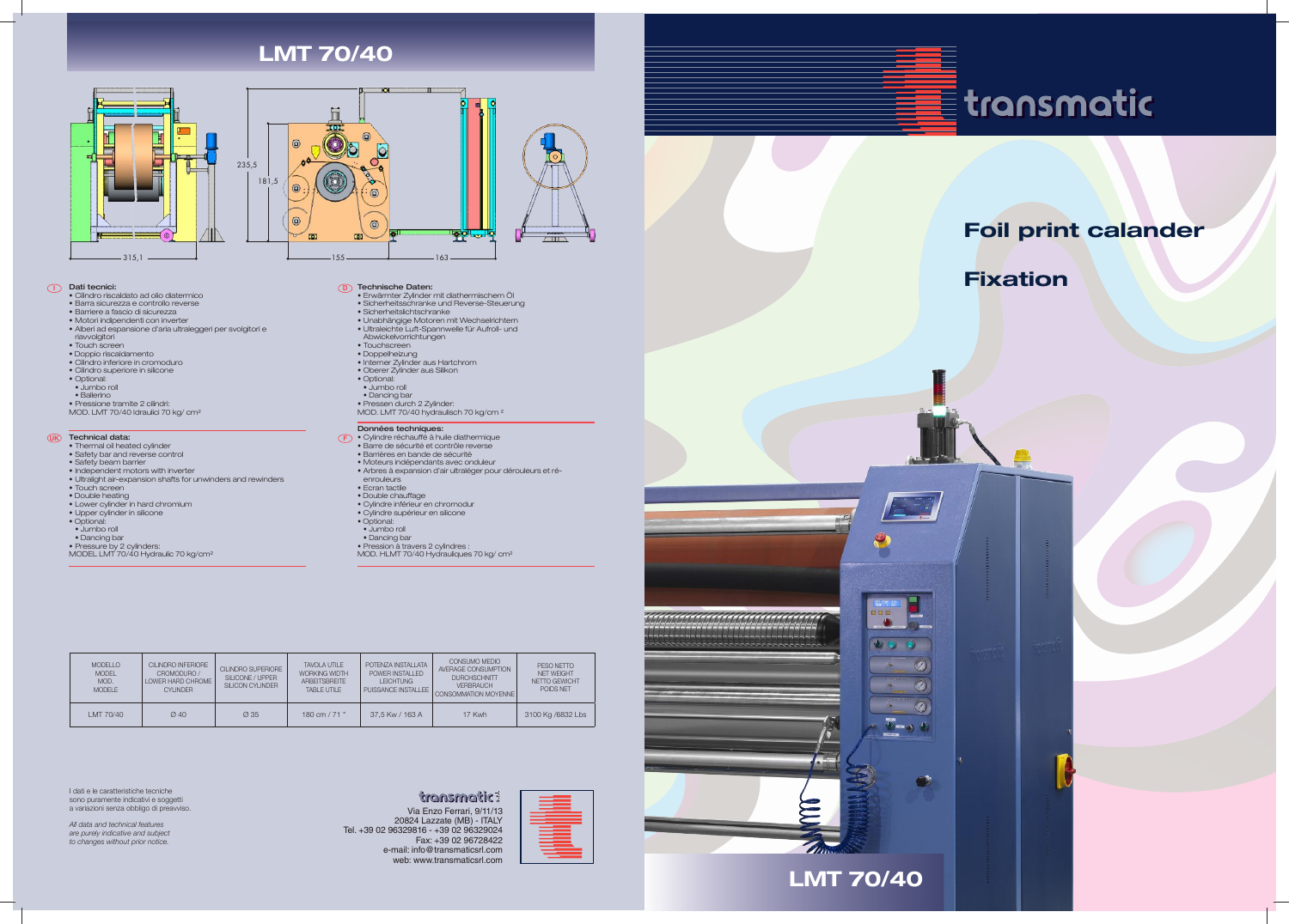## **I D** Dati tecnici:

- Cilindro riscaldato ad olio diatermico
- Barra sicurezza e controllo reverse
- Barriere a fascio di sicurezza
- Motori indipendenti con inverter
- Alberi ad espansione d'aria ultraleggeri per svolgitori e
- riavvolgitori
- Touch screen • Doppio riscaldamento
- 
- Cilindro inferiore in cromoduro • Cilindro superiore in silicone
- Optional:
- Jumbo roll
- Ballerino
- 

### **UK F** Technical data:

• Pressione tramite 2 cilindri: MOD. LMT 70/40 Idraulici 70 kg/ cm²

- Erwärmter Zylinder mit diathermischem Öl
- Sicherheitsschranke und Reverse-Steuerung
- Sicherheitslichtschranke
- Unabhängige Motoren mit Wechselrichtern
- Ultraleichte Luft-Spannwelle für Aufroll- und Abwickelvorrichtungen
- Touchscreen
- Doppelheizung
- Interner Zylinder aus Hartchrom
- Oberer Zylinder aus Silikon
- Optional:
- Jumbo roll
- Dancing bar
- Pressen durch 2 Zylinder: MOD. LMT 70/40 hydraulisch 70 kg/cm <sup>2</sup>

- Thermal oil heated cylinder
- Safety bar and reverse control
- Safety beam barrier
- Independent motors with inverter
- Ultralight air-expansion shafts for unwinders and rewinders
- Touch screen
- Double heating
- Lower cylinder in hard chromium • Upper cylinder in silicone
- 
- Optional:
- Jumbo roll • Dancing bar
- Pressure by 2 cylinders:

# MODEL LMT 70/40 Hydraulic 70 kg/cm<sup>2</sup>

## Technische Daten:

## Données techniques:

- Cylindre réchauffé à huile diathermique
- Barre de sécurité et contrôle reverse
- Barrières en bande de sécurité
- Moteurs indépendants avec onduleur
- Arbres à expansion d'air ultraléger pour dérouleurs et ré**enrouleurs**
- Ecran tactile
- Double chauffage
- Cylindre inférieur en chromodur
- Cylindre supérieur en silicone
- Optional:
- Jumbo roll
- Dancing bar
- Pression à travers 2 cylindres : MOD. HLMT 70/40 Hydrauliques 70 kg/ cm²

I dati e le caratteristiche tecniche sono puramente indicativi e soggetti a variazioni senza obbligo di preavviso.

*All data and technical features are purely indicative and subject to changes without prior notice.*

# **transmatic:**

Via Enzo Ferrari, 9/11/13 20824 Lazzate (MB) - ITALY Tel. +39 02 96329816 - +39 02 96329024 Fax: +39 02 96728422 e-mail: info@transmaticsrl.com web: www.transmaticsrl.com





**THIS LMT 70/40** 



| <b>MODELLO</b><br><b>MODEL</b><br>MOD.<br><b>MODELE</b> | <b>CILINDRO INFERIORE</b><br>CROMODURO /<br>LOWER HARD CHROME<br>CYI INDER | CII INDRO SUPERIORE<br>SILICONE / UPPER<br>SILICON CYLINDER | <b>TAVOLA UTILE</b><br><b>WORKING WIDTH</b><br><b>ARBEITSBREITE</b><br>TABLE UTILE | POTENZA INSTALLATA<br>POWER INSTALLED<br><b>LEICHTUNG</b><br>PUISSANCE INSTALLEE | CONSUMO MEDIO<br>AVERAGE CONSUMPTION<br><b>DURCHSCHNITT</b><br><b>VERBRAUCH</b><br>CONSOMMATION MOYENNE | PESO NETTO<br>NET WEIGHT<br>NFTTO GFWICHT<br>POIDS NFT |
|---------------------------------------------------------|----------------------------------------------------------------------------|-------------------------------------------------------------|------------------------------------------------------------------------------------|----------------------------------------------------------------------------------|---------------------------------------------------------------------------------------------------------|--------------------------------------------------------|
| LMT 70/40                                               | $Q$ 40                                                                     | Ø 35                                                        | 180 cm $/$ 71 $"$                                                                  | 37.5 Kw / 163 A                                                                  | 17 Kwh                                                                                                  | 3100 Kg /6832 Lbs                                      |







# **LMT 70/40**

# Foil print calander

# Fixation



 $\circledcirc$ 

 $\circledcirc$ 0

 $\cap$ 

 $\overline{D}$  = 0  $\overline{D}$